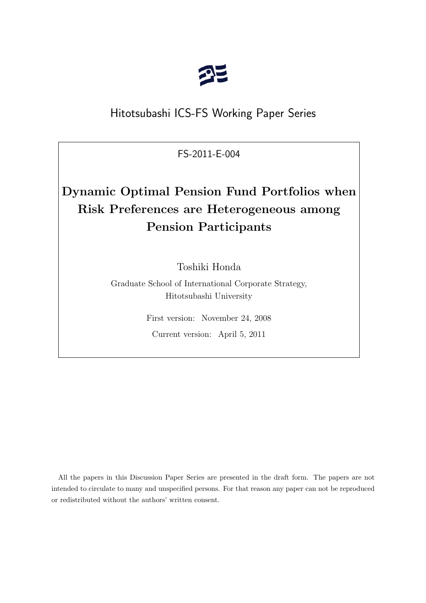

# Hitotsubashi ICS-FS Working Paper Series

FS-2011-E-004

# **Dynamic Optimal Pension Fund Portfolios when Risk Preferences are Heterogeneous among Pension Participants**

Toshiki Honda

Graduate School of International Corporate Strategy, Hitotsubashi University

First version: November 24, 2008

Current version: April 5, 2011

All the papers in this Discussion Paper Series are presented in the draft form. The papers are not intended to circulate to many and unspecified persons. For that reason any paper can not be reproduced or redistributed without the authors' written consent.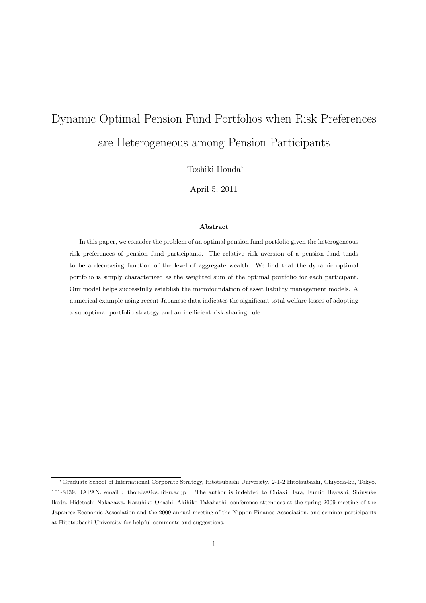# Dynamic Optimal Pension Fund Portfolios when Risk Preferences are Heterogeneous among Pension Participants

Toshiki Honda*<sup>∗</sup>*

April 5, 2011

#### **Abstract**

In this paper, we consider the problem of an optimal pension fund portfolio given the heterogeneous risk preferences of pension fund participants. The relative risk aversion of a pension fund tends to be a decreasing function of the level of aggregate wealth. We find that the dynamic optimal portfolio is simply characterized as the weighted sum of the optimal portfolio for each participant. Our model helps successfully establish the microfoundation of asset liability management models. A numerical example using recent Japanese data indicates the significant total welfare losses of adopting a suboptimal portfolio strategy and an inefficient risk-sharing rule.

*<sup>∗</sup>*Graduate School of International Corporate Strategy, Hitotsubashi University. 2-1-2 Hitotsubashi, Chiyoda-ku, Tokyo, 101-8439, JAPAN. email : thonda@ics.hit-u.ac.jp The author is indebted to Chiaki Hara, Fumio Hayashi, Shinsuke Ikeda, Hidetoshi Nakagawa, Kazuhiko Ohashi, Akihiko Takahashi, conference attendees at the spring 2009 meeting of the Japanese Economic Association and the 2009 annual meeting of the Nippon Finance Association, and seminar participants at Hitotsubashi University for helpful comments and suggestions.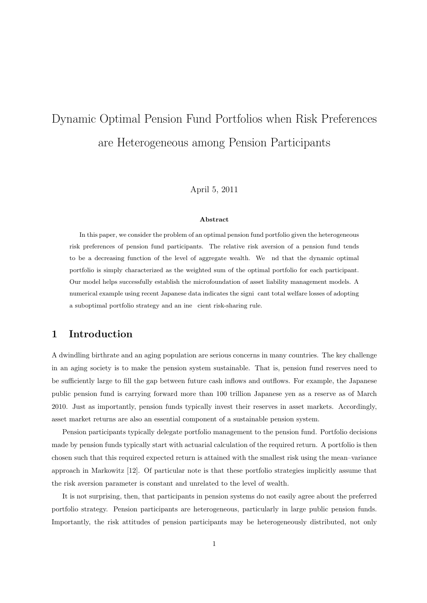# Dynamic Optimal Pension Fund Portfolios when Risk Preferences are Heterogeneous among Pension Participants

April 5, 2011

#### **Abstract**

In this paper, we consider the problem of an optimal pension fund portfolio given the heterogeneous risk preferences of pension fund participants. The relative risk aversion of a pension fund tends to be a decreasing function of the level of aggregate wealth. We nd that the dynamic optimal portfolio is simply characterized as the weighted sum of the optimal portfolio for each participant. Our model helps successfully establish the microfoundation of asset liability management models. A numerical example using recent Japanese data indicates the signicant total welfare losses of adopting a suboptimal portfolio strategy and an ine cient risk-sharing rule.

### **1 Introduction**

A dwindling birthrate and an aging population are serious concerns in many countries. The key challenge in an aging society is to make the pension system sustainable. That is, pension fund reserves need to be sufficiently large to fill the gap between future cash inflows and outflows. For example, the Japanese public pension fund is carrying forward more than 100 trillion Japanese yen as a reserve as of March 2010. Just as importantly, pension funds typically invest their reserves in asset markets. Accordingly, asset market returns are also an essential component of a sustainable pension system.

Pension participants typically delegate portfolio management to the pension fund. Portfolio decisions made by pension funds typically start with actuarial calculation of the required return. A portfolio is then chosen such that this required expected return is attained with the smallest risk using the mean–variance approach in Markowitz [12]. Of particular note is that these portfolio strategies implicitly assume that the risk aversion parameter is constant and unrelated to the level of wealth.

It is not surprising, then, that participants in pension systems do not easily agree about the preferred portfolio strategy. Pension participants are heterogeneous, particularly in large public pension funds. Importantly, the risk attitudes of pension participants may be heterogeneously distributed, not only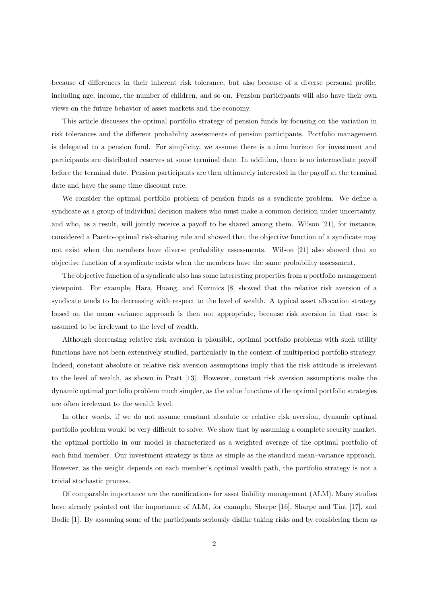because of differences in their inherent risk tolerance, but also because of a diverse personal profile, including age, income, the number of children, and so on. Pension participants will also have their own views on the future behavior of asset markets and the economy.

This article discusses the optimal portfolio strategy of pension funds by focusing on the variation in risk tolerances and the different probability assessments of pension participants. Portfolio management is delegated to a pension fund. For simplicity, we assume there is a time horizon for investment and participants are distributed reserves at some terminal date. In addition, there is no intermediate payoff before the terminal date. Pension participants are then ultimately interested in the payoff at the terminal date and have the same time discount rate.

We consider the optimal portfolio problem of pension funds as a syndicate problem. We define a syndicate as a group of individual decision makers who must make a common decision under uncertainty, and who, as a result, will jointly receive a payoff to be shared among them. Wilson [21], for instance, considered a Pareto-optimal risk-sharing rule and showed that the objective function of a syndicate may not exist when the members have diverse probability assessments. Wilson [21] also showed that an objective function of a syndicate exists when the members have the same probability assessment.

The objective function of a syndicate also has some interesting properties from a portfolio management viewpoint. For example, Hara, Huang, and Kuzmics [8] showed that the relative risk aversion of a syndicate tends to be decreasing with respect to the level of wealth. A typical asset allocation strategy based on the mean–variance approach is then not appropriate, because risk aversion in that case is assumed to be irrelevant to the level of wealth.

Although decreasing relative risk aversion is plausible, optimal portfolio problems with such utility functions have not been extensively studied, particularly in the context of multiperiod portfolio strategy. Indeed, constant absolute or relative risk aversion assumptions imply that the risk attitude is irrelevant to the level of wealth, as shown in Pratt [13]. However, constant risk aversion assumptions make the dynamic optimal portfolio problem much simpler, as the value functions of the optimal portfolio strategies are often irrelevant to the wealth level.

In other words, if we do not assume constant absolute or relative risk aversion, dynamic optimal portfolio problem would be very difficult to solve. We show that by assuming a complete security market, the optimal portfolio in our model is characterized as a weighted average of the optimal portfolio of each fund member. Our investment strategy is thus as simple as the standard mean–variance approach. However, as the weight depends on each member's optimal wealth path, the portfolio strategy is not a trivial stochastic process.

Of comparable importance are the ramifications for asset liability management (ALM). Many studies have already pointed out the importance of ALM, for example, Sharpe [16], Sharpe and Tint [17], and Bodie [1]. By assuming some of the participants seriously dislike taking risks and by considering them as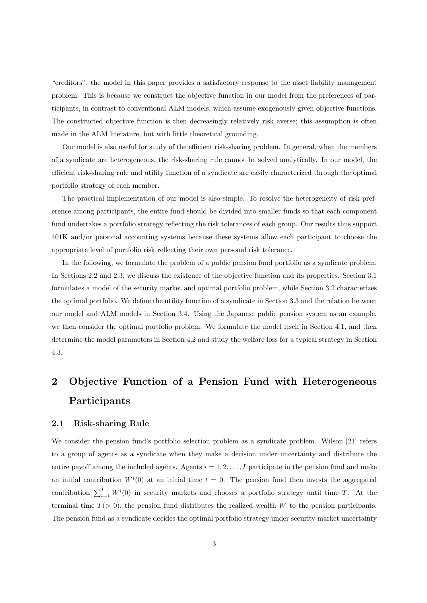"creditors", the model in this paper provides a satisfactory response to the asset liability management problem. This is because we construct the objective function in our model from the preferences of participants, in contrast to conventional ALM models, which assume exogenously given objective functions. The constructed objective function is then decreasingly relatively risk averse; this assumption is often made in the ALM literature, but with little theoretical grounding.

Our model is also useful for study of the efficient risk-sharing problem. In general, when the members of a syndicate are heterogeneous, the risk-sharing rule cannot be solved analytically. In our model, the efficient risk-sharing rule and utility function of a syndicate are easily characterized through the optimal portfolio strategy of each member.

The practical implementation of our model is also simple. To resolve the heterogeneity of risk preference among participants, the entire fund should be divided into smaller funds so that each component fund undertakes a portfolio strategy reflecting the risk tolerances of each group. Our results thus support 401K and/or personal accounting systems because these systems allow each participant to choose the appropriate level of portfolio risk reflecting their own personal risk tolerance.

In the following, we formulate the problem of a public pension fund portfolio as a syndicate problem. In Sections 2.2 and 2.3, we discuss the existence of the objective function and its properties. Section 3.1 formulates a model of the security market and optimal portfolio problem, while Section 3.2 characterizes the optimal portfolio. We define the utility function of a syndicate in Section 3.3 and the relation between our model and ALM models in Section 3.4. Using the Japanese public pension system as an example, we then consider the optimal portfolio problem. We formulate the model itself in Section 4.1, and then determine the model parameters in Section 4.2 and study the welfare loss for a typical strategy in Section 4.3.

# **2 Objective Function of a Pension Fund with Heterogeneous Participants**

#### **2.1 Risk-sharing Rule**

We consider the pension fund's portfolio selection problem as a syndicate problem. Wilson [21] refers to a group of agents as a syndicate when they make a decision under uncertainty and distribute the entire payoff among the included agents. Agents  $i = 1, 2, \ldots, I$  participate in the pension fund and make an initial contribution  $W^i(0)$  at an initial time  $t=0$ . The pension fund then invests the aggregated contribution  $\sum_{i=1}^{I} W^i(0)$  in security markets and chooses a portfolio strategy until time *T*. At the terminal time  $T(>0)$ , the pension fund distributes the realized wealth *W* to the pension participants. The pension fund as a syndicate decides the optimal portfolio strategy under security market uncertainty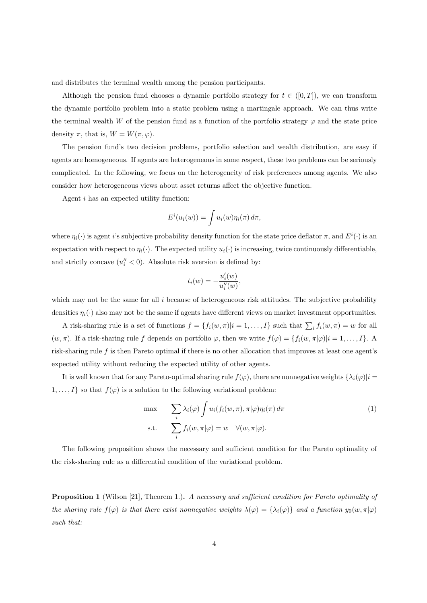and distributes the terminal wealth among the pension participants.

Although the pension fund chooses a dynamic portfolio strategy for  $t \in ([0,T])$ , we can transform the dynamic portfolio problem into a static problem using a martingale approach. We can thus write the terminal wealth *W* of the pension fund as a function of the portfolio strategy  $\varphi$  and the state price density  $\pi$ , that is,  $W = W(\pi, \varphi)$ .

The pension fund's two decision problems, portfolio selection and wealth distribution, are easy if agents are homogeneous. If agents are heterogeneous in some respect, these two problems can be seriously complicated. In the following, we focus on the heterogeneity of risk preferences among agents. We also consider how heterogeneous views about asset returns affect the objective function.

Agent *i* has an expected utility function:

$$
E^{i}(u_{i}(w)) = \int u_{i}(w)\eta_{i}(\pi) d\pi,
$$

where  $\eta_i(\cdot)$  is agent *i*'s subjective probability density function for the state price deflator  $\pi$ , and  $E^i(\cdot)$  is an expectation with respect to  $\eta_i(\cdot)$ . The expected utility  $u_i(\cdot)$  is increasing, twice continuously differentiable, and strictly concave  $(u''_i < 0)$ . Absolute risk aversion is defined by:

$$
t_i(w) = -\frac{u'_i(w)}{u''_i(w)},
$$

which may not be the same for all *i* because of heterogeneous risk attitudes. The subjective probability densities  $\eta_i(\cdot)$  also may not be the same if agents have different views on market investment opportunities.

A risk-sharing rule is a set of functions  $f = \{f_i(w, \pi) | i = 1, ..., I\}$  such that  $\sum_i f_i(w, \pi) = w$  for all (*w*, *π*). If a risk-sharing rule *f* depends on portfolio  $\varphi$ , then we write  $f(\varphi) = \{f_i(w, \pi | \varphi) | i = 1, ..., I\}$ . A risk-sharing rule *f* is then Pareto optimal if there is no other allocation that improves at least one agent's expected utility without reducing the expected utility of other agents.

It is well known that for any Pareto-optimal sharing rule  $f(\varphi)$ , there are nonnegative weights  $\{\lambda_i(\varphi)|i=1\}$ 1,..., *I}* so that  $f(\varphi)$  is a solution to the following variational problem:

$$
\max_{i} \sum_{i} \lambda_{i}(\varphi) \int u_{i}(f_{i}(w,\pi), \pi | \varphi) \eta_{i}(\pi) d\pi
$$
\n
$$
\text{s.t.} \sum_{i} f_{i}(w, \pi | \varphi) = w \quad \forall (w, \pi | \varphi).
$$
\n(1)

The following proposition shows the necessary and sufficient condition for the Pareto optimality of the risk-sharing rule as a differential condition of the variational problem.

**Proposition 1** (Wilson [21], Theorem 1.)**.** *A necessary and sufficient condition for Pareto optimality of the sharing rule*  $f(\varphi)$  *is that there exist nonnegative weights*  $\lambda(\varphi) = {\lambda_i(\varphi)}$  *and a function*  $y_0(w, \pi | \varphi)$ *such that:*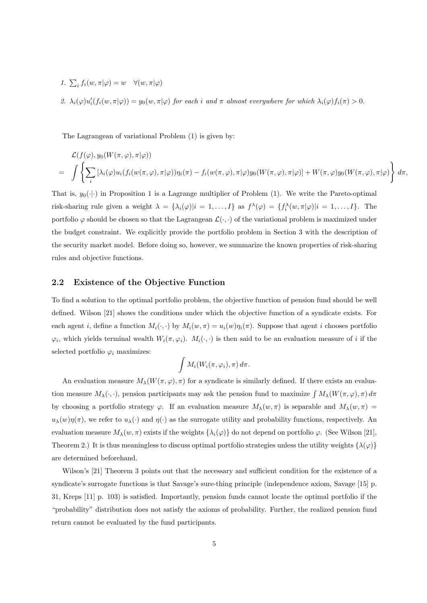- *1.*  $\sum_i f_i(w, \pi | \varphi) = w \quad \forall (w, \pi | \varphi)$
- 2.  $\lambda_i(\varphi)u'_i(f_i(w,\pi|\varphi)) = y_0(w,\pi|\varphi)$  for each i and  $\pi$  almost everywhere for which  $\lambda_i(\varphi) f_i(\pi) > 0$ .

The Lagrangean of variational Problem (1) is given by:

$$
\mathcal{L}(f(\varphi),y_0(W(\pi,\varphi),\pi|\varphi))
$$
\n
$$
= \int \left\{ \sum_i \left[ \lambda_i(\varphi) u_i(f_i(w(\pi,\varphi),\pi|\varphi)) \eta_i(\pi) - f_i(w(\pi,\varphi),\pi|\varphi) y_0(W(\pi,\varphi),\pi|\varphi) \right] + W(\pi,\varphi) y_0(W(\pi,\varphi),\pi|\varphi) \right\} d\pi,
$$

That is,  $y_0(\cdot|\cdot)$  in Proposition 1 is a Lagrange multiplier of Problem (1). We write the Pareto-optimal risk-sharing rule given a weight  $\lambda = {\lambda_i(\varphi)}|i = 1,\ldots,I$  as  $f^{\lambda}(\varphi) = {f_i^{\lambda}(w, \pi | \varphi)}|i = 1,\ldots,I$ . The portfolio  $\varphi$  should be chosen so that the Lagrangean  $\mathcal{L}(\cdot, \cdot)$  of the variational problem is maximized under the budget constraint. We explicitly provide the portfolio problem in Section 3 with the description of the security market model. Before doing so, however, we summarize the known properties of risk-sharing rules and objective functions.

#### **2.2 Existence of the Objective Function**

To find a solution to the optimal portfolio problem, the objective function of pension fund should be well defined. Wilson [21] shows the conditions under which the objective function of a syndicate exists. For each agent *i*, define a function  $M_i(\cdot, \cdot)$  by  $M_i(w, \pi) = u_i(w)\eta_i(\pi)$ . Suppose that agent *i* chooses portfolio  $\varphi_i$ , which yields terminal wealth  $W_i(\pi, \varphi_i)$ .  $M_i(\cdot, \cdot)$  is then said to be an evaluation measure of *i* if the selected portfolio  $\varphi_i$  maximizes:

$$
\int M_i(W_i(\pi,\varphi_i),\pi)\,d\pi.
$$

An evaluation measure  $M_\lambda(W(\pi,\varphi),\pi)$  for a syndicate is similarly defined. If there exists an evaluation measure  $M_\lambda(\cdot, \cdot)$ , pension participants may ask the pension fund to maximize  $\int M_\lambda(W(\pi, \varphi), \pi) d\pi$ by choosing a portfolio strategy  $\varphi$ . If an evaluation measure  $M_{\lambda}(w,\pi)$  is separable and  $M_{\lambda}(w,\pi)$  $u_{\lambda}(w)\eta(\pi)$ , we refer to  $u_{\lambda}(\cdot)$  and  $\eta(\cdot)$  as the surrogate utility and probability functions, respectively. An evaluation measure  $M_{\lambda}(w, \pi)$  exists if the weights  $\{\lambda_i(\varphi)\}\$  do not depend on portfolio  $\varphi$ . (See Wilson [21], Theorem 2.) It is thus meaningless to discuss optimal portfolio strategies unless the utility weights  $\{\lambda(\varphi)\}$ are determined beforehand.

Wilson's [21] Theorem 3 points out that the necessary and sufficient condition for the existence of a syndicate's surrogate functions is that Savage's sure-thing principle (independence axiom, Savage [15] p. 31, Kreps [11] p. 103) is satisfied. Importantly, pension funds cannot locate the optimal portfolio if the "probability" distribution does not satisfy the axioms of probability. Further, the realized pension fund return cannot be evaluated by the fund participants.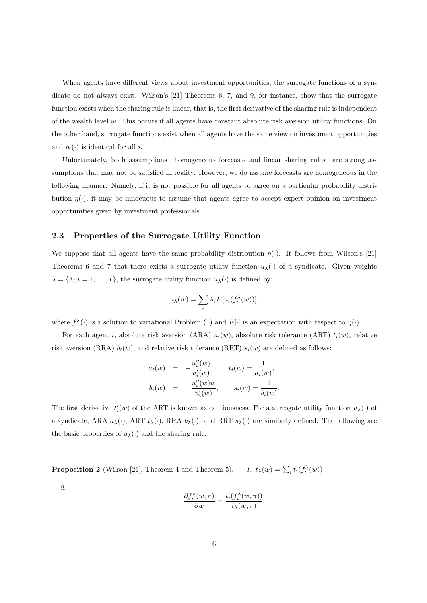When agents have different views about investment opportunities, the surrogate functions of a syndicate do not always exist. Wilson's [21] Theorems 6, 7, and 9, for instance, show that the surrogate function exists when the sharing rule is linear, that is, the first derivative of the sharing rule is independent of the wealth level *w*. This occurs if all agents have constant absolute risk aversion utility functions. On the other hand, surrogate functions exist when all agents have the same view on investment opportunities and  $\eta_i(\cdot)$  is identical for all *i*.

Unfortunately, both assumptions—homogeneous forecasts and linear sharing rules—are strong assumptions that may not be satisfied in reality. However, we do assume forecasts are homogeneous in the following manner. Namely, if it is not possible for all agents to agree on a particular probability distribution  $\eta(\cdot)$ , it may be innocuous to assume that agents agree to accept expert opinion on investment opportunities given by investment professionals.

#### **2.3 Properties of the Surrogate Utility Function**

We suppose that all agents have the same probability distribution  $\eta(\cdot)$ . It follows from Wilson's [21] Theorems 6 and 7 that there exists a surrogate utility function  $u_{\lambda}(\cdot)$  of a syndicate. Given weights  $\lambda = {\lambda_i | i = 1, ..., I}$ , the surrogate utility function  $u_\lambda(\cdot)$  is defined by:

$$
u_{\lambda}(w) = \sum_{i} \lambda_{i} E[u_{i}(f^{\lambda}_{i}(w))],
$$

where  $f^{\lambda}(\cdot)$  is a solution to variational Problem (1) and  $E[\cdot]$  is an expectation with respect to  $\eta(\cdot)$ .

For each agent *i*, absolute risk aversion (ARA)  $a_i(w)$ , absolute risk tolerance (ART)  $t_i(w)$ , relative risk aversion (RRA)  $b_i(w)$ , and relative risk tolerance (RRT)  $s_i(w)$  are defined as follows:

$$
a_i(w) = -\frac{u''_i(w)}{u'_i(w)}, \t t_i(w) = \frac{1}{a_i(w)},
$$
  

$$
b_i(w) = -\frac{u''_i(w)w}{u'_i(w)}, \t s_i(w) = \frac{1}{b_i(w)}.
$$

The first derivative  $t'_{i}(w)$  of the ART is known as cautiousness. For a surrogate utility function  $u_{\lambda}(\cdot)$  of a syndicate, ARA  $a_{\lambda}(\cdot)$ , ART  $t_{\lambda}(\cdot)$ , RRA  $b_{\lambda}(\cdot)$ , and RRT  $s_{\lambda}(\cdot)$  are similarly defined. The following are the basic properties of  $u_{\lambda}(\cdot)$  and the sharing rule.

**Proposition 2** (Wilson [21], Theorem 4 and Theorem 5). *1.*  $t_{\lambda}(w) = \sum_i t_i(f_i^{\lambda}(w))$ 

*2.*

$$
\frac{\partial f_i^{\lambda}(w,\pi)}{\partial w} = \frac{t_i(f_i^{\lambda}(w,\pi))}{t_{\lambda}(w,\pi)}
$$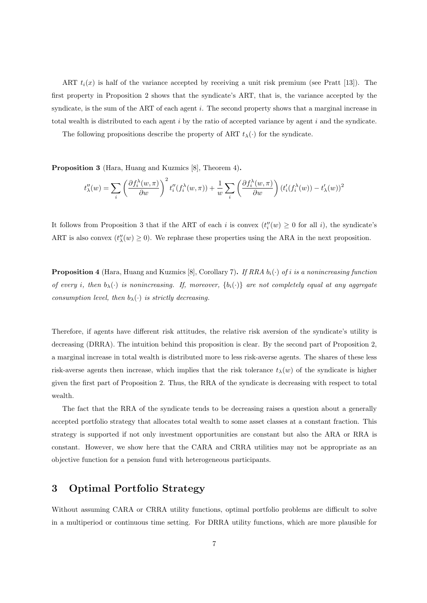ART  $t_i(x)$  is half of the variance accepted by receiving a unit risk premium (see Pratt [13]). The first property in Proposition 2 shows that the syndicate's ART, that is, the variance accepted by the syndicate, is the sum of the ART of each agent *i*. The second property shows that a marginal increase in total wealth is distributed to each agent *i* by the ratio of accepted variance by agent *i* and the syndicate.

The following propositions describe the property of ART  $t_{\lambda}(\cdot)$  for the syndicate.

**Proposition 3** (Hara, Huang and Kuzmics [8], Theorem 4)**.**

$$
t''_{\lambda}(w) = \sum_{i} \left(\frac{\partial f_i^{\lambda}(w,\pi)}{\partial w}\right)^2 t''_i(f_i^{\lambda}(w,\pi)) + \frac{1}{w} \sum_{i} \left(\frac{\partial f_i^{\lambda}(w,\pi)}{\partial w}\right) (t'_i(f_i^{\lambda}(w)) - t'_{\lambda}(w))^2
$$

It follows from Proposition 3 that if the ART of each *i* is convex  $(t''_i(w) \geq 0$  for all *i*), the syndicate's ART is also convex  $(t''_{\lambda}(w) \geq 0)$ . We rephrase these properties using the ARA in the next proposition.

**Proposition 4** (Hara, Huang and Kuzmics [8], Corollary 7). If RRA  $b_i(\cdot)$  of *i* is a nonincreasing function *of every i*, then  $b_{\lambda}(\cdot)$  *is nonincreasing. If, moreover,*  $\{b_i(\cdot)\}\$  *are not completely equal at any aggregate consumption level, then*  $b_{\lambda}(\cdot)$  *is strictly decreasing.* 

Therefore, if agents have different risk attitudes, the relative risk aversion of the syndicate's utility is decreasing (DRRA). The intuition behind this proposition is clear. By the second part of Proposition 2, a marginal increase in total wealth is distributed more to less risk-averse agents. The shares of these less risk-averse agents then increase, which implies that the risk tolerance  $t_{\lambda}(w)$  of the syndicate is higher given the first part of Proposition 2. Thus, the RRA of the syndicate is decreasing with respect to total wealth.

The fact that the RRA of the syndicate tends to be decreasing raises a question about a generally accepted portfolio strategy that allocates total wealth to some asset classes at a constant fraction. This strategy is supported if not only investment opportunities are constant but also the ARA or RRA is constant. However, we show here that the CARA and CRRA utilities may not be appropriate as an objective function for a pension fund with heterogeneous participants.

### **3 Optimal Portfolio Strategy**

Without assuming CARA or CRRA utility functions, optimal portfolio problems are difficult to solve in a multiperiod or continuous time setting. For DRRA utility functions, which are more plausible for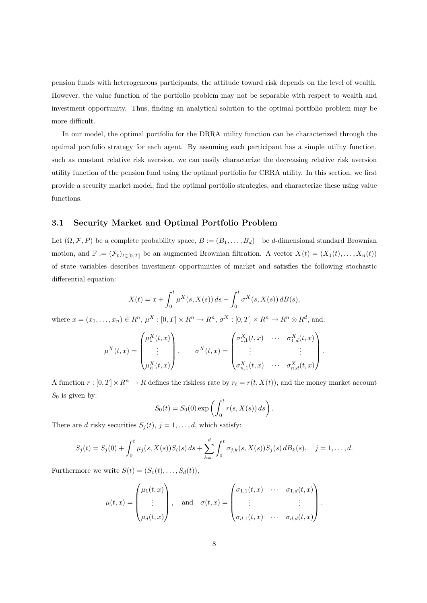pension funds with heterogeneous participants, the attitude toward risk depends on the level of wealth. However, the value function of the portfolio problem may not be separable with respect to wealth and investment opportunity. Thus, finding an analytical solution to the optimal portfolio problem may be more difficult.

In our model, the optimal portfolio for the DRRA utility function can be characterized through the optimal portfolio strategy for each agent. By assuming each participant has a simple utility function, such as constant relative risk aversion, we can easily characterize the decreasing relative risk aversion utility function of the pension fund using the optimal portfolio for CRRA utility. In this section, we first provide a security market model, find the optimal portfolio strategies, and characterize these using value functions.

#### **3.1 Security Market and Optimal Portfolio Problem**

Let  $(\Omega, \mathcal{F}, P)$  be a complete probability space,  $B := (B_1, \ldots, B_d)^\top$  be *d*-dimensional standard Brownian motion, and  $\mathbb{F} := (\mathcal{F}_t)_{t \in [0,T]}$  be an augmented Brownian filtration. A vector  $X(t) = (X_1(t), \ldots, X_n(t))$ of state variables describes investment opportunities of market and satisfies the following stochastic differential equation:

$$
X(t) = x + \int_0^t \mu^X(s, X(s)) ds + \int_0^t \sigma^X(s, X(s)) dB(s),
$$

where  $x = (x_1, \ldots, x_n) \in R^n$ ,  $\mu^X : [0, T] \times R^n \to R^n$ ,  $\sigma^X : [0, T] \times R^n \to R^n \otimes R^d$ , and:

$$
\mu^X(t,x) = \begin{pmatrix} \mu_1^X(t,x) \\ \vdots \\ \mu_n^X(t,x) \end{pmatrix}, \qquad \sigma^X(t,x) = \begin{pmatrix} \sigma_{1,1}^X(t,x) & \cdots & \sigma_{1,d}^X(t,x) \\ \vdots & & \vdots \\ \sigma_{n,1}^X(t,x) & \cdots & \sigma_{n,d}^X(t,x) \end{pmatrix}.
$$

A function  $r : [0, T] \times R^n \to R$  defines the riskless rate by  $r_t = r(t, X(t))$ , and the money market account *S*<sup>0</sup> is given by:

$$
S_0(t) = S_0(0) \exp \left( \int_0^t r(s, X(s)) ds \right).
$$

There are *d* risky securities  $S_j(t)$ ,  $j = 1, \ldots, d$ , which satisfy:

$$
S_j(t) = S_j(0) + \int_0^t \mu_j(s, X(s)) S_i(s) ds + \sum_{k=1}^d \int_0^t \sigma_{j,k}(s, X(s)) S_j(s) dB_k(s), \quad j = 1, ..., d.
$$

Furthermore we write  $S(t) = (S_1(t), \ldots, S_d(t)),$ 

$$
\mu(t,x) = \begin{pmatrix} \mu_1(t,x) \\ \vdots \\ \mu_d(t,x) \end{pmatrix}, \text{ and } \sigma(t,x) = \begin{pmatrix} \sigma_{1,1}(t,x) & \cdots & \sigma_{1,d}(t,x) \\ \vdots & & \vdots \\ \sigma_{d,1}(t,x) & \cdots & \sigma_{d,d}(t,x) \end{pmatrix}.
$$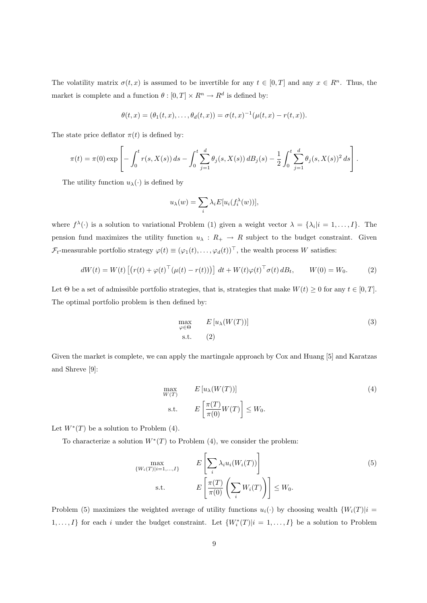The volatility matrix  $\sigma(t, x)$  is assumed to be invertible for any  $t \in [0, T]$  and any  $x \in R^n$ . Thus, the market is complete and a function  $\theta$  :  $[0, T] \times R^n \to R^d$  is defined by:

$$
\theta(t,x) = (\theta_1(t,x), \dots, \theta_d(t,x)) = \sigma(t,x)^{-1}(\mu(t,x) - r(t,x)).
$$

The state price deflator  $\pi(t)$  is defined by:

$$
\pi(t) = \pi(0) \exp \left[ - \int_0^t r(s, X(s)) ds - \int_0^t \sum_{j=1}^d \theta_j(s, X(s)) dB_j(s) - \frac{1}{2} \int_0^t \sum_{j=1}^d \theta_j(s, X(s))^2 ds \right].
$$

The utility function  $u_{\lambda}(\cdot)$  is defined by

$$
u_{\lambda}(w) = \sum_{i} \lambda_{i} E[u_{i}(f^{\lambda}_{i}(w))],
$$

where  $f^{\lambda}(\cdot)$  is a solution to variational Problem (1) given a weight vector  $\lambda = {\lambda_i | i = 1, ..., I}.$  The pension fund maximizes the utility function  $u_{\lambda}: R_{+} \to R$  subject to the budget constraint. Given  $\mathcal{F}_t$ -measurable portfolio strategy  $\varphi(t) \equiv (\varphi_1(t), \ldots, \varphi_d(t))^{\top}$ , the wealth process *W* satisfies:

$$
dW(t) = W(t) \left[ \left( r(t) + \varphi(t)^\top (\mu(t) - r(t)) \right) \right] dt + W(t) \varphi(t)^\top \sigma(t) dB_t, \qquad W(0) = W_0.
$$
 (2)

Let  $\Theta$  be a set of admissible portfolio strategies, that is, strategies that make  $W(t) \geq 0$  for any  $t \in [0, T]$ . The optimal portfolio problem is then defined by:

$$
\max_{\varphi \in \Theta} E[u_{\lambda}(W(T))]
$$
\n<sup>(3)</sup>\n  
\n<sup>(3)</sup>\n  
\n<sup>(3)</sup>

Given the market is complete, we can apply the martingale approach by Cox and Huang [5] and Karatzas and Shreve [9]:

$$
\max_{W(T)} \qquad E[u_{\lambda}(W(T))]
$$
\n
$$
\text{s.t.} \qquad E\left[\frac{\pi(T)}{\pi(0)}W(T)\right] \leq W_0.
$$
\n
$$
(4)
$$

Let  $W^*(T)$  be a solution to Problem  $(4)$ .

To characterize a solution  $W^*(T)$  to Problem  $(4)$ , we consider the problem:

$$
\max_{\{W_i(T)|i=1,\dots,I\}} E\left[\sum_i \lambda_i u_i(W_i(T))\right]
$$
\n
$$
\text{s.t.} E\left[\frac{\pi(T)}{\pi(0)}\left(\sum_i W_i(T)\right)\right] \leq W_0.
$$
\n
$$
(5)
$$

Problem (5) maximizes the weighted average of utility functions  $u_i(\cdot)$  by choosing wealth  $\{W_i(T)|i=1\}$ 1,..., *I*<sup>}</sup> for each *i* under the budget constraint. Let  $\{W_i^*(T)|i=1,\ldots,I\}$  be a solution to Problem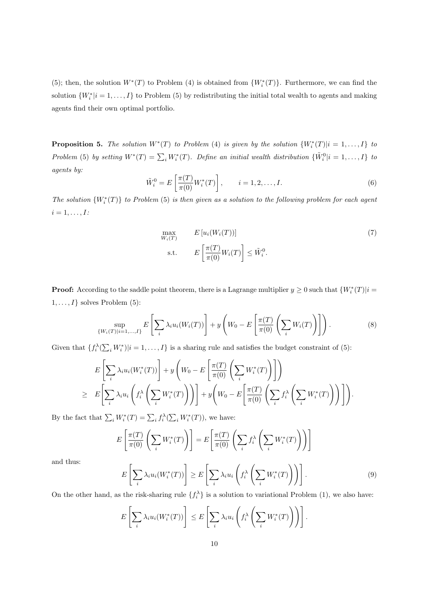(5); then, the solution  $W^*(T)$  to Problem (4) is obtained from  $\{W_i^*(T)\}$ . Furthermore, we can find the solution  $\{W_i^*|i=1,\ldots,I\}$  to Problem (5) by redistributing the initial total wealth to agents and making agents find their own optimal portfolio.

**Proposition 5.** The solution  $W^*(T)$  to Problem (4) is given by the solution  $\{W_i^*(T)|i=1,\ldots,I\}$  to Problem (5) by setting  $W^*(T) = \sum_i W_i^*(T)$ . Define an initial wealth distribution  $\{\tilde{W}_i^0 | i = 1, ..., I\}$  to *agents by:*

$$
\tilde{W}_i^0 = E\left[\frac{\pi(T)}{\pi(0)} W_i^*(T)\right], \qquad i = 1, 2, \dots, I.
$$
\n(6)

*The solution {W<sup>∗</sup> i* (*T*)*} to Problem* (5) *is then given as a solution to the following problem for each agent*  $i = 1, \ldots, I:$ 

$$
\max_{W_i(T)} \qquad E[u_i(W_i(T))]
$$
\n
$$
\text{s.t.} \qquad E\left[\frac{\pi(T)}{\pi(0)}W_i(T)\right] \leq \tilde{W}_i^0. \tag{7}
$$

**Proof:** According to the saddle point theorem, there is a Lagrange multiplier  $y \ge 0$  such that  $\{W_i^*(T)|i = 1\}$ 1*, . . . , I}* solves Problem (5):

$$
\sup_{\{W_i(T)|i=1,\ldots,I\}} E\left[\sum_i \lambda_i u_i(W_i(T))\right] + y\left(W_0 - E\left[\frac{\pi(T)}{\pi(0)}\left(\sum_i W_i(T)\right)\right]\right). \tag{8}
$$

Given that  $\{f_i^{\lambda}(\sum_i W_i^*) | i = 1, ..., I\}$  is a sharing rule and satisfies the budget constraint of (5):

$$
E\left[\sum_{i}\lambda_{i}u_{i}(W_{i}^{*}(T))\right] + y\left(W_{0} - E\left[\frac{\pi(T)}{\pi(0)}\left(\sum_{i}W_{i}^{*}(T)\right)\right]\right)
$$
  
\n
$$
\geq E\left[\sum_{i}\lambda_{i}u_{i}\left(f_{i}^{\lambda}\left(\sum_{i}W_{i}^{*}(T)\right)\right)\right] + y\left(W_{0} - E\left[\frac{\pi(T)}{\pi(0)}\left(\sum_{i}f_{i}^{\lambda}\left(\sum_{i}W_{i}^{*}(T)\right)\right)\right]\right).
$$

By the fact that  $\sum_i W_i^*(T) = \sum_i f_i^{\lambda}(\sum_i W_i^*(T))$ , we have:

$$
E\left[\frac{\pi(T)}{\pi(0)}\left(\sum_{i} W_i^*(T)\right)\right] = E\left[\frac{\pi(T)}{\pi(0)}\left(\sum_{i} f_i^{\lambda}\left(\sum_{i} W_i^*(T)\right)\right)\right]
$$

and thus:

$$
E\left[\sum_{i} \lambda_i u_i(W_i^*(T))\right] \ge E\left[\sum_{i} \lambda_i u_i \left(f_i^{\lambda}\left(\sum_{i} W_i^*(T)\right)\right)\right].
$$
\n(9)

On the other hand, as the risk-sharing rule  $\{f_i^{\lambda}\}\$ is a solution to variational Problem (1), we also have:

$$
E\left[\sum_{i} \lambda_i u_i(W_i^*(T))\right] \leq E\left[\sum_{i} \lambda_i u_i \left(f_i^{\lambda}\left(\sum_{i} W_i^*(T)\right)\right)\right].
$$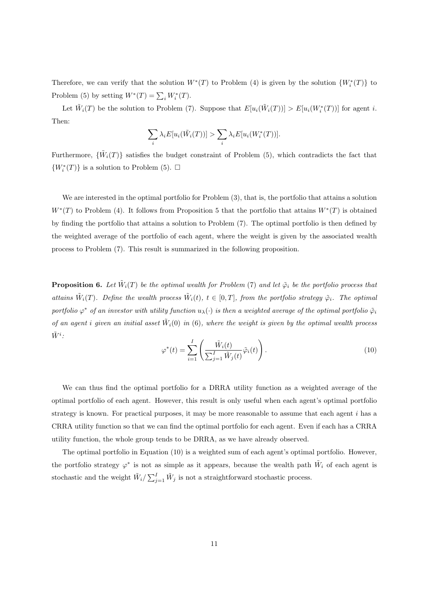Therefore, we can verify that the solution  $W^*(T)$  to Problem (4) is given by the solution  $\{W_i^*(T)\}$  to Problem (5) by setting  $W^*(T) = \sum_i W_i^*(T)$ .

Let  $\tilde{W}_i(T)$  be the solution to Problem (7). Suppose that  $E[u_i(\tilde{W}_i(T))] > E[u_i(W_i^*(T))]$  for agent *i*. Then:

$$
\sum_{i} \lambda_i E[u_i(\tilde{W}_i(T))] > \sum_{i} \lambda_i E[u_i(W_i^*(T))].
$$

Furthermore,  $\{\tilde{W}_i(T)\}\$  satisfies the budget constraint of Problem (5), which contradicts the fact that *{W*<sup>\*</sup><sub>*i*</sub></sub><sup>*(T*)*}* is a solution to Problem (5). □</sup>

We are interested in the optimal portfolio for Problem  $(3)$ , that is, the portfolio that attains a solution *W*<sup>∗</sup>(*T*) to Problem (4). It follows from Proposition 5 that the portfolio that attains *W*<sup>∗</sup>(*T*) is obtained by finding the portfolio that attains a solution to Problem (7). The optimal portfolio is then defined by the weighted average of the portfolio of each agent, where the weight is given by the associated wealth process to Problem (7). This result is summarized in the following proposition.

**Proposition 6.** Let  $\tilde{W}_i(T)$  be the optimal wealth for Problem (7) and let  $\tilde{\varphi}_i$  be the portfolio process that *attains*  $\tilde{W}_i(T)$ . Define the wealth process  $\tilde{W}_i(t)$ ,  $t \in [0, T]$ , from the portfolio strategy  $\tilde{\varphi}_i$ . The optimal  $p$ *ortfolio*  $\varphi^*$  *of an investor with utility function*  $u_\lambda(\cdot)$  *is then a weighted average of the optimal portfolio*  $\tilde{\varphi}_i$ *of an agent i given an initial asset*  $\tilde{W}_i(0)$  *in* (6), where the weight is given by the optimal wealth process  $\tilde{W}^i$ :

$$
\varphi^*(t) = \sum_{i=1}^I \left( \frac{\tilde{W}_i(t)}{\sum_{j=1}^I \tilde{W}_j(t)} \tilde{\varphi}_i(t) \right).
$$
\n(10)

We can thus find the optimal portfolio for a DRRA utility function as a weighted average of the optimal portfolio of each agent. However, this result is only useful when each agent's optimal portfolio strategy is known. For practical purposes, it may be more reasonable to assume that each agent *i* has a CRRA utility function so that we can find the optimal portfolio for each agent. Even if each has a CRRA utility function, the whole group tends to be DRRA, as we have already observed.

The optimal portfolio in Equation (10) is a weighted sum of each agent's optimal portfolio. However, the portfolio strategy  $\varphi^*$  is not as simple as it appears, because the wealth path  $\tilde{W}_i$  of each agent is stochastic and the weight  $\tilde{W}_i / \sum_{j=1}^I \tilde{W}_j$  is not a straightforward stochastic process.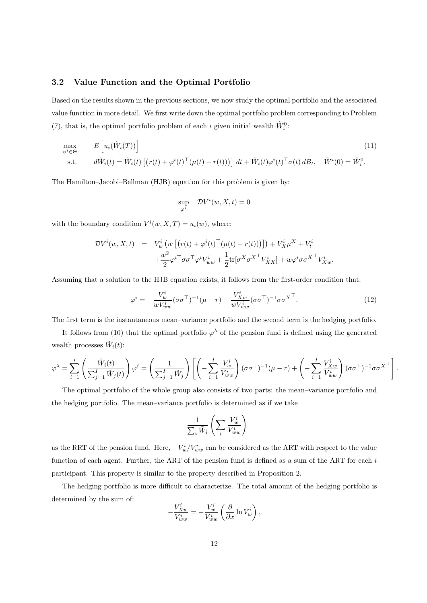#### **3.2 Value Function and the Optimal Portfolio**

Based on the results shown in the previous sections, we now study the optimal portfolio and the associated value function in more detail. We first write down the optimal portfolio problem corresponding to Problem (7), that is, the optimal portfolio problem of each *i* given initial wealth  $\tilde{W}_i^0$ :

$$
\max_{\varphi^i \in \Theta} \qquad E\left[u_i(\tilde{W}_i(T))\right]
$$
\n
$$
\text{s.t.} \qquad d\tilde{W}_i(t) = \tilde{W}_i(t)\left[\left(r(t) + \varphi^i(t)^\top(\mu(t) - r(t))\right)\right]dt + \tilde{W}_i(t)\varphi^i(t)^\top\sigma(t)dB_t, \quad \tilde{W}^i(0) = \tilde{W}_i^0.
$$
\n
$$
(11)
$$

The Hamilton–Jacobi–Bellman (HJB) equation for this problem is given by:

$$
\sup_{\varphi^i} \quad \mathcal{D}V^i(w,X,t) = 0
$$

with the boundary condition  $V^i(w, X, T) = u_i(w)$ , where:

$$
\mathcal{D}V^{i}(w, X, t) = V_w^{i}(w \left[ \left( r(t) + \varphi^{i}(t)^\top (\mu(t) - r(t)) \right) \right] \right) + V_X^{i} \mu^{X} + V_t^{i}
$$
  
+ 
$$
\frac{w^{2}}{2} \varphi^{i\top} \sigma \sigma^{\top} \varphi^{i} V_{ww}^{i} + \frac{1}{2} \text{tr} \left[ \sigma^{X} \sigma^{X} \right] V_{XX}^{i} + w \varphi^{i} \sigma \sigma^{X} \right] V_{Xw}^{i}.
$$

Assuming that a solution to the HJB equation exists, it follows from the first-order condition that:

$$
\varphi^i = -\frac{V_w^i}{wV_{ww}^i} (\sigma \sigma^\top)^{-1} (\mu - r) - \frac{V_{X_w}^i}{wV_{ww}^i} (\sigma \sigma^\top)^{-1} \sigma \sigma^{X^\top}.
$$
\n(12)

The first term is the instantaneous mean–variance portfolio and the second term is the hedging portfolio.

It follows from (10) that the optimal portfolio  $\varphi^{\lambda}$  of the pension fund is defined using the generated wealth processes  $\tilde{W}_i(t)$ :

$$
\varphi^{\lambda} = \sum_{i=1}^{I} \left( \frac{\tilde{W}_i(t)}{\sum_{j=1}^{I} \tilde{W}_j(t)} \right) \varphi^i = \left( \frac{1}{\sum_{j=1}^{I} \tilde{W}_j} \right) \left[ \left( -\sum_{i=1}^{I} \frac{V_w^i}{V_{ww}^i} \right) (\sigma \sigma^{\top})^{-1} (\mu - r) + \left( -\sum_{i=1}^{I} \frac{V_{Xw}^i}{V_{ww}^i} \right) (\sigma \sigma^{\top})^{-1} \sigma \sigma^{X} \right].
$$

The optimal portfolio of the whole group also consists of two parts: the mean–variance portfolio and the hedging portfolio. The mean–variance portfolio is determined as if we take

$$
-\frac{1}{\sum_i \tilde{W}_i} \left(\sum_i \frac{V_w^i}{V_{ww}^i}\right)
$$

as the RRT of the pension fund. Here,  $-V_w^i/V_{ww}^i$  can be considered as the ART with respect to the value function of each agent. Further, the ART of the pension fund is defined as a sum of the ART for each *i* participant. This property is similar to the property described in Proposition 2.

The hedging portfolio is more difficult to characterize. The total amount of the hedging portfolio is determined by the sum of:

$$
-\frac{V_{\lambda w}^i}{V_{ww}^i} = -\frac{V_w^i}{V_{ww}^i} \left(\frac{\partial}{\partial x} \ln V_w^i\right),\,
$$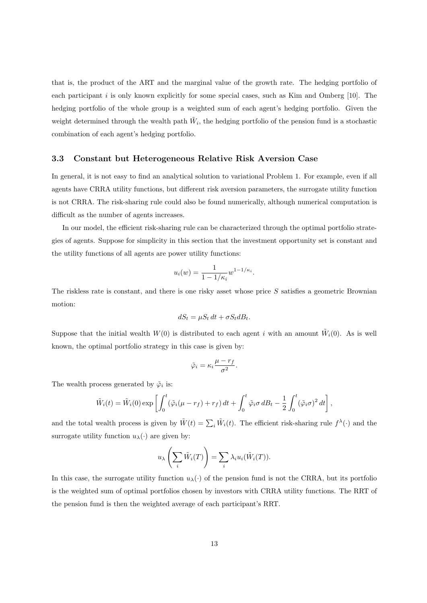that is, the product of the ART and the marginal value of the growth rate. The hedging portfolio of each participant *i* is only known explicitly for some special cases, such as Kim and Omberg [10]. The hedging portfolio of the whole group is a weighted sum of each agent's hedging portfolio. Given the weight determined through the wealth path  $\tilde{W}_i$ , the hedging portfolio of the pension fund is a stochastic combination of each agent's hedging portfolio.

#### **3.3 Constant but Heterogeneous Relative Risk Aversion Case**

In general, it is not easy to find an analytical solution to variational Problem 1. For example, even if all agents have CRRA utility functions, but different risk aversion parameters, the surrogate utility function is not CRRA. The risk-sharing rule could also be found numerically, although numerical computation is difficult as the number of agents increases.

In our model, the efficient risk-sharing rule can be characterized through the optimal portfolio strategies of agents. Suppose for simplicity in this section that the investment opportunity set is constant and the utility functions of all agents are power utility functions:

$$
u_i(w) = \frac{1}{1 - 1/\kappa_i} w^{1 - 1/\kappa_i}.
$$

The riskless rate is constant, and there is one risky asset whose price *S* satisfies a geometric Brownian motion:

$$
dS_t = \mu S_t dt + \sigma S_t dB_t.
$$

Suppose that the initial wealth  $W(0)$  is distributed to each agent *i* with an amount  $\tilde{W}_i(0)$ . As is well known, the optimal portfolio strategy in this case is given by:

$$
\tilde{\varphi}_i = \kappa_i \frac{\mu - r_f}{\sigma^2}.
$$

The wealth process generated by  $\tilde{\varphi}_i$  is:

$$
\tilde{W}_i(t) = \tilde{W}_i(0) \exp\left[\int_0^t (\tilde{\varphi}_i(\mu - r_f) + r_f) dt + \int_0^t \tilde{\varphi}_i \sigma dB_t - \frac{1}{2} \int_0^t (\tilde{\varphi}_i \sigma)^2 dt\right],
$$

and the total wealth process is given by  $\tilde{W}(t) = \sum_i \tilde{W}_i(t)$ . The efficient risk-sharing rule  $f^{\lambda}(\cdot)$  and the surrogate utility function  $u_{\lambda}(\cdot)$  are given by:

$$
u_{\lambda}\left(\sum_{i}\tilde{W}_{i}(T)\right)=\sum_{i}\lambda_{i}u_{i}(\tilde{W}_{i}(T)).
$$

In this case, the surrogate utility function  $u_{\lambda}(\cdot)$  of the pension fund is not the CRRA, but its portfolio is the weighted sum of optimal portfolios chosen by investors with CRRA utility functions. The RRT of the pension fund is then the weighted average of each participant's RRT.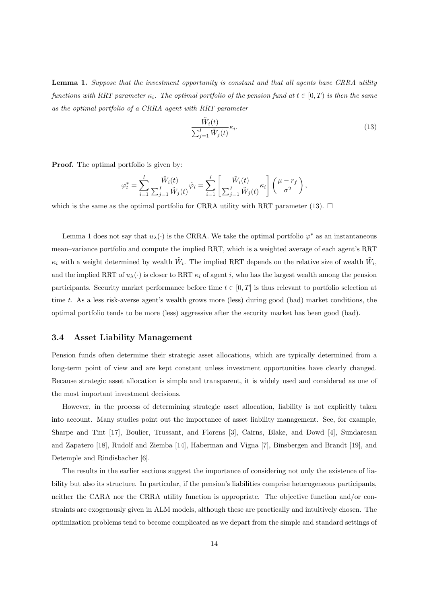**Lemma 1.** *Suppose that the investment opportunity is constant and that all agents have CRRA utility functions with RRT parameter*  $\kappa_i$ *. The optimal portfolio of the pension fund at*  $t \in [0, T)$  *is then the same as the optimal portfolio of a CRRA agent with RRT parameter*

$$
\frac{\tilde{W}_i(t)}{\sum_{j=1}^I \tilde{W}_j(t)} \kappa_i.
$$
\n(13)

**Proof.** The optimal portfolio is given by:

$$
\varphi_t^* = \sum_{i=1}^I \frac{\tilde{W}_i(t)}{\sum_{j=1}^I \tilde{W}_j(t)} \tilde{\varphi}_i = \sum_{i=1}^I \left[ \frac{\tilde{W}_i(t)}{\sum_{j=1}^I \tilde{W}_j(t)} \kappa_i \right] \left( \frac{\mu - r_f}{\sigma^2} \right),
$$

which is the same as the optimal portfolio for CRRA utility with RRT parameter (13).  $\Box$ 

Lemma 1 does not say that  $u_\lambda(\cdot)$  is the CRRA. We take the optimal portfolio  $\varphi^*$  as an instantaneous mean–variance portfolio and compute the implied RRT, which is a weighted average of each agent's RRT  $\kappa_i$  with a weight determined by wealth  $\tilde{W}_i$ . The implied RRT depends on the relative size of wealth  $\tilde{W}_i$ , and the implied RRT of  $u_{\lambda}(\cdot)$  is closer to RRT  $\kappa_i$  of agent *i*, who has the largest wealth among the pension participants. Security market performance before time  $t \in [0, T]$  is thus relevant to portfolio selection at time *t*. As a less risk-averse agent's wealth grows more (less) during good (bad) market conditions, the optimal portfolio tends to be more (less) aggressive after the security market has been good (bad).

#### **3.4 Asset Liability Management**

Pension funds often determine their strategic asset allocations, which are typically determined from a long-term point of view and are kept constant unless investment opportunities have clearly changed. Because strategic asset allocation is simple and transparent, it is widely used and considered as one of the most important investment decisions.

However, in the process of determining strategic asset allocation, liability is not explicitly taken into account. Many studies point out the importance of asset liability management. See, for example, Sharpe and Tint [17], Boulier, Trussant, and Florens [3], Cairns, Blake, and Dowd [4], Sundaresan and Zapatero [18], Rudolf and Ziemba [14], Haberman and Vigna [7], Binsbergen and Brandt [19], and Detemple and Rindisbacher [6].

The results in the earlier sections suggest the importance of considering not only the existence of liability but also its structure. In particular, if the pension's liabilities comprise heterogeneous participants, neither the CARA nor the CRRA utility function is appropriate. The objective function and/or constraints are exogenously given in ALM models, although these are practically and intuitively chosen. The optimization problems tend to become complicated as we depart from the simple and standard settings of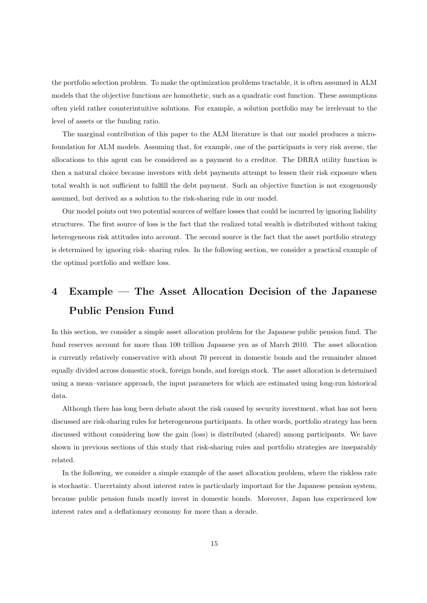the portfolio selection problem. To make the optimization problems tractable, it is often assumed in ALM models that the objective functions are homothetic, such as a quadratic cost function. These assumptions often yield rather counterintuitive solutions. For example, a solution portfolio may be irrelevant to the level of assets or the funding ratio.

The marginal contribution of this paper to the ALM literature is that our model produces a microfoundation for ALM models. Assuming that, for example, one of the participants is very risk averse, the allocations to this agent can be considered as a payment to a creditor. The DRRA utility function is then a natural choice because investors with debt payments attempt to lessen their risk exposure when total wealth is not sufficient to fulfill the debt payment. Such an objective function is not exogenously assumed, but derived as a solution to the risk-sharing rule in our model.

Our model points out two potential sources of welfare losses that could be incurred by ignoring liability structures. The first source of loss is the fact that the realized total wealth is distributed without taking heterogeneous risk attitudes into account. The second source is the fact that the asset portfolio strategy is determined by ignoring risk- sharing rules. In the following section, we consider a practical example of the optimal portfolio and welfare loss.

# **4 Example — The Asset Allocation Decision of the Japanese Public Pension Fund**

In this section, we consider a simple asset allocation problem for the Japanese public pension fund. The fund reserves account for more than 100 trillion Japanese yen as of March 2010. The asset allocation is currently relatively conservative with about 70 percent in domestic bonds and the remainder almost equally divided across domestic stock, foreign bonds, and foreign stock. The asset allocation is determined using a mean–variance approach, the input parameters for which are estimated using long-run historical data.

Although there has long been debate about the risk caused by security investment, what has not been discussed are risk-sharing rules for heterogeneous participants. In other words, portfolio strategy has been discussed without considering how the gain (loss) is distributed (shared) among participants. We have shown in previous sections of this study that risk-sharing rules and portfolio strategies are inseparably related.

In the following, we consider a simple example of the asset allocation problem, where the riskless rate is stochastic. Uncertainty about interest rates is particularly important for the Japanese pension system, because public pension funds mostly invest in domestic bonds. Moreover, Japan has experienced low interest rates and a deflationary economy for more than a decade.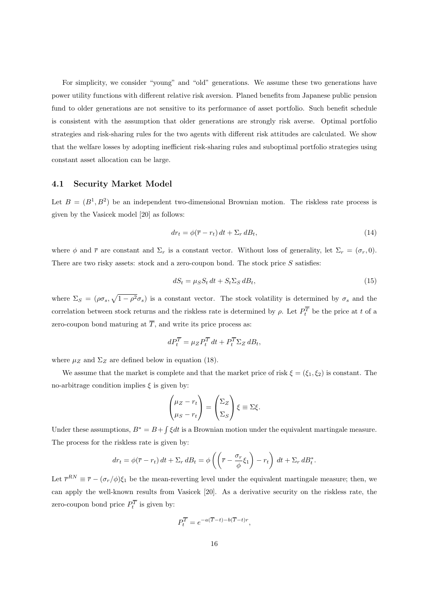For simplicity, we consider "young" and "old" generations. We assume these two generations have power utility functions with different relative risk aversion. Planed benefits from Japanese public pension fund to older generations are not sensitive to its performance of asset portfolio. Such benefit schedule is consistent with the assumption that older generations are strongly risk averse. Optimal portfolio strategies and risk-sharing rules for the two agents with different risk attitudes are calculated. We show that the welfare losses by adopting inefficient risk-sharing rules and suboptimal portfolio strategies using constant asset allocation can be large.

#### **4.1 Security Market Model**

Let  $B = (B^1, B^2)$  be an independent two-dimensional Brownian motion. The riskless rate process is given by the Vasicek model [20] as follows:

$$
dr_t = \phi(\overline{r} - r_t) dt + \Sigma_r dB_t, \qquad (14)
$$

where  $\phi$  and  $\overline{r}$  are constant and  $\Sigma_r$  is a constant vector. Without loss of generality, let  $\Sigma_r = (\sigma_r, 0)$ . There are two risky assets: stock and a zero-coupon bond. The stock price *S* satisfies:

$$
dS_t = \mu_S S_t dt + S_t \Sigma_S dB_t, \qquad (15)
$$

where  $\Sigma_S = (\rho \sigma_s, \sqrt{1-\rho^2} \sigma_s)$  is a constant vector. The stock volatility is determined by  $\sigma_s$  and the correlation between stock returns and the riskless rate is determined by  $\rho$ . Let  $P_t^T$  be the price at *t* of a zero-coupon bond maturing at  $\overline{T}$ , and write its price process as:

$$
dP_t^{\overline{T}} = \mu_Z P_t^{\overline{T}} dt + P_t^{\overline{T}} \Sigma_Z dB_t,
$$

where  $\mu_Z$  and  $\Sigma_Z$  are defined below in equation (18).

We assume that the market is complete and that the market price of risk  $\xi = (\xi_1, \xi_2)$  is constant. The no-arbitrage condition implies  $\xi$  is given by:

$$
\begin{pmatrix} \mu_Z - r_t \\ \mu_S - r_t \end{pmatrix} = \begin{pmatrix} \Sigma_Z \\ \Sigma_S \end{pmatrix} \xi \equiv \Sigma \xi.
$$

Under these assumptions,  $B^* = B + \int \xi dt$  is a Brownian motion under the equivalent martingale measure. The process for the riskless rate is given by:

$$
dr_t = \phi(\overline{r} - r_t) dt + \Sigma_r dB_t = \phi \left( \left( \overline{r} - \frac{\sigma_r}{\phi} \xi_1 \right) - r_t \right) dt + \Sigma_r dB_t^*.
$$

Let  $\bar{r}^{RN} \equiv \bar{r} - (\sigma_r/\phi)\xi_1$  be the mean-reverting level under the equivalent martingale measure; then, we can apply the well-known results from Vasicek [20]. As a derivative security on the riskless rate, the zero-coupon bond price  $P_t^T$  is given by:

$$
P_t^{\overline{T}} = e^{-a(\overline{T}-t) - b(\overline{T}-t)r},
$$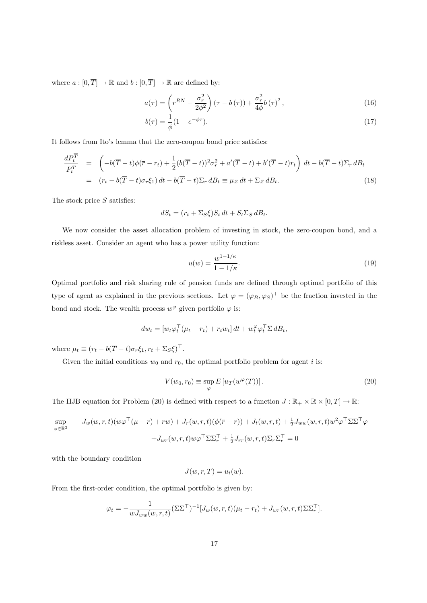where  $a : [0, \overline{T}] \to \mathbb{R}$  and  $b : [0, \overline{T}] \to \mathbb{R}$  are defined by:

$$
a(\tau) = \left(\overline{r}^{RN} - \frac{\sigma_r^2}{2\phi^2}\right)(\tau - b(\tau)) + \frac{\sigma_r^2}{4\phi}b(\tau)^2,
$$
\n(16)

$$
b(\tau) = \frac{1}{\phi} (1 - e^{-\phi \tau}).
$$
\n(17)

It follows from Ito's lemma that the zero-coupon bond price satisfies:

$$
\frac{dP_t^{\overline{T}}}{P_t^{\overline{T}}} = \left(-b(\overline{T}-t)\phi(\overline{r}-r_t) + \frac{1}{2}(b(\overline{T}-t))^2\sigma_r^2 + a'(\overline{T}-t) + b'(\overline{T}-t)r_t\right)dt - b(\overline{T}-t)\Sigma_r dB_t
$$
\n
$$
= (r_t - b(\overline{T}-t)\sigma_r\xi_1)dt - b(\overline{T}-t)\Sigma_r dB_t \equiv \mu_Z dt + \Sigma_Z dB_t.
$$
\n(18)

The stock price *S* satisfies:

$$
dS_t = (r_t + \Sigma_S \xi) S_t dt + S_t \Sigma_S dB_t.
$$

We now consider the asset allocation problem of investing in stock, the zero-coupon bond, and a riskless asset. Consider an agent who has a power utility function:

$$
u(w) = \frac{w^{1-1/\kappa}}{1-1/\kappa}.
$$
\n(19)

Optimal portfolio and risk sharing rule of pension funds are defined through optimal portfolio of this type of agent as explained in the previous sections. Let  $\varphi = (\varphi_B, \varphi_S)^{\top}$  be the fraction invested in the bond and stock. The wealth process  $w^{\varphi}$  given portfolio  $\varphi$  is:

$$
dw_t = [w_t \varphi_t^\top (\mu_t - r_t) + r_t w_t] dt + w_t^{\varphi} \varphi_t^\top \Sigma dB_t,
$$

where  $\mu_t \equiv (r_t - b(\overline{T} - t)\sigma_r \xi_1, r_t + \Sigma_S \xi)^{\top}$ .

Given the initial conditions  $w_0$  and  $r_0$ , the optimal portfolio problem for agent *i* is:

$$
V(w_0, r_0) \equiv \sup_{\varphi} E\left[u_T(w^{\varphi}(T))\right].
$$
\n(20)

The HJB equation for Problem (20) is defined with respect to a function  $J : \mathbb{R}_+ \times \mathbb{R} \times [0, T] \to \mathbb{R}$ :

$$
\sup_{\varphi \in \mathbb{R}^2} J_w(w, r, t)(w\varphi^{\top}(\mu - r) + rw) + J_r(w, r, t)(\phi(\overline{r} - r)) + J_t(w, r, t) + \frac{1}{2}J_{ww}(w, r, t)w^2\varphi^{\top}\Sigma\Sigma^{\top}\varphi
$$

$$
+J_{wr}(w, r, t)w\varphi^{\top}\Sigma\Sigma_r^{\top} + \frac{1}{2}J_{rr}(w, r, t)\Sigma_r\Sigma_r^{\top} = 0
$$

with the boundary condition

$$
J(w,r,T) = u_i(w).
$$

From the first-order condition, the optimal portfolio is given by:

$$
\varphi_t = -\frac{1}{wJ_{ww}(w,r,t)} (\Sigma \Sigma^\top)^{-1} [J_w(w,r,t)(\mu_t - r_t) + J_{wr}(w,r,t) \Sigma \Sigma_r^\top].
$$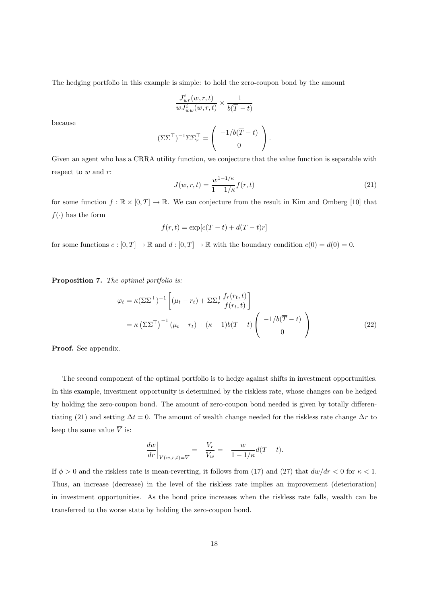The hedging portfolio in this example is simple: to hold the zero-coupon bond by the amount

$$
\frac{J^i_{wr}(w,r,t)}{wJ^i_{ww}(w,r,t)} \times \frac{1}{b(\overline{T}-t)}
$$

because

$$
(\Sigma\Sigma^{\top})^{-1}\Sigma\Sigma_r^{\top} = \left(\begin{array}{c} -1/b(\overline{T}-t) \\ 0 \end{array}\right).
$$

Given an agent who has a CRRA utility function, we conjecture that the value function is separable with respect to *w* and *r*:

$$
J(w,r,t) = \frac{w^{1-1/\kappa}}{1-1/\kappa} f(r,t)
$$
\n(21)

for some function  $f : \mathbb{R} \times [0,T] \to \mathbb{R}$ . We can conjecture from the result in Kim and Omberg [10] that  $f(\cdot)$  has the form

$$
f(r,t) = \exp[c(T-t) + d(T-t)r]
$$

for some functions  $c : [0, T] \to \mathbb{R}$  and  $d : [0, T] \to \mathbb{R}$  with the boundary condition  $c(0) = d(0) = 0$ .

**Proposition 7.** *The optimal portfolio is:*

$$
\varphi_t = \kappa (\Sigma \Sigma^{\top})^{-1} \left[ (\mu_t - r_t) + \Sigma \Sigma_r^{\top} \frac{f_r(r_t, t)}{f(r_t, t)} \right]
$$
  
=  $\kappa (\Sigma \Sigma^{\top})^{-1} (\mu_t - r_t) + (\kappa - 1)b(T - t) \begin{pmatrix} -1/b(\overline{T} - t) \\ 0 \end{pmatrix}$  (22)

**Proof.** See appendix.

The second component of the optimal portfolio is to hedge against shifts in investment opportunities. In this example, investment opportunity is determined by the riskless rate, whose changes can be hedged by holding the zero-coupon bond. The amount of zero-coupon bond needed is given by totally differentiating (21) and setting  $\Delta t = 0$ . The amount of wealth change needed for the riskless rate change  $\Delta r$  to keep the same value  $\overline{V}$  is:

$$
\left. \frac{dw}{dr} \right|_{V(w,r,t)=\overline{V}} = -\frac{V_r}{V_w} = -\frac{w}{1-1/\kappa}d(T-t).
$$

If  $\phi > 0$  and the riskless rate is mean-reverting, it follows from (17) and (27) that  $dw/dr < 0$  for  $\kappa < 1$ . Thus, an increase (decrease) in the level of the riskless rate implies an improvement (deterioration) in investment opportunities. As the bond price increases when the riskless rate falls, wealth can be transferred to the worse state by holding the zero-coupon bond.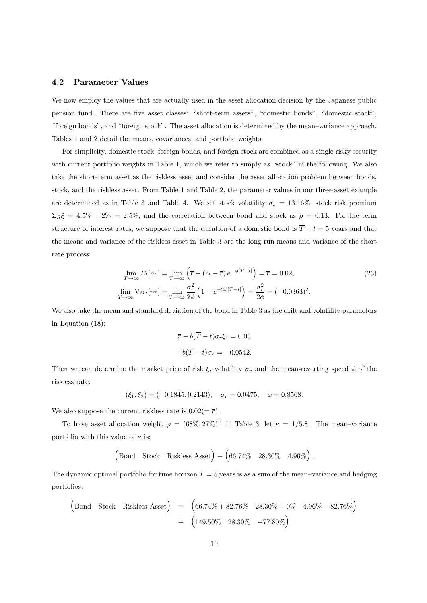#### **4.2 Parameter Values**

We now employ the values that are actually used in the asset allocation decision by the Japanese public pension fund. There are five asset classes: "short-term assets", "domestic bonds", "domestic stock", "foreign bonds", and "foreign stock". The asset allocation is determined by the mean–variance approach. Tables 1 and 2 detail the means, covariances, and portfolio weights.

For simplicity, domestic stock, foreign bonds, and foreign stock are combined as a single risky security with current portfolio weights in Table 1, which we refer to simply as "stock" in the following. We also take the short-term asset as the riskless asset and consider the asset allocation problem between bonds, stock, and the riskless asset. From Table 1 and Table 2, the parameter values in our three-asset example are determined as in Table 3 and Table 4. We set stock volatility  $\sigma_s = 13.16\%$ , stock risk premium  $\Sigma_S \xi = 4.5\% - 2\% = 2.5\%$ , and the correlation between bond and stock as  $\rho = 0.13$ . For the term structure of interest rates, we suppose that the duration of a domestic bond is  $\overline{T} - t = 5$  years and that the means and variance of the riskless asset in Table 3 are the long-run means and variance of the short rate process:

$$
\lim_{T \to \infty} E_t[r_T] = \lim_{T \to \infty} \left( \overline{r} + (r_t - \overline{r}) e^{-\phi[T-t]} \right) = \overline{r} = 0.02,
$$
\n
$$
\lim_{T \to \infty} \text{Var}_t[r_T] = \lim_{T \to \infty} \frac{\sigma_r^2}{2\phi} \left( 1 - e^{-2\phi[T-t]} \right) = \frac{\sigma_r^2}{2\phi} = (-0.0363)^2.
$$
\n
$$
(23)
$$

We also take the mean and standard deviation of the bond in Table 3 as the drift and volatility parameters in Equation (18):

$$
\overline{r} - b(\overline{T} - t)\sigma_r \xi_1 = 0.03
$$

$$
-b(\overline{T} - t)\sigma_r = -0.0542.
$$

Then we can determine the market price of risk  $\xi$ , volatility  $\sigma_r$  and the mean-reverting speed  $\phi$  of the riskless rate:

$$
(\xi_1, \xi_2) = (-0.1845, 0.2143), \quad \sigma_r = 0.0475, \quad \phi = 0.8568.
$$

We also suppose the current riskless rate is  $0.02(=\bar{r})$ .

To have asset allocation weight  $\varphi = (68\%, 27\%)^{\top}$  in Table 3, let  $\kappa = 1/5.8$ . The mean–variance portfolio with this value of *κ* is:

$$
\begin{pmatrix} \text{Bond Stock Riskless Asset} \end{pmatrix} = \begin{pmatrix} 66.74\% & 28.30\% & 4.96\% \end{pmatrix}.
$$

The dynamic optimal portfolio for time horizon  $T = 5$  years is as a sum of the mean–variance and hedging portfolios:

$$
\begin{array}{rcl}\n\text{(Bond Stock Riskless Asset)} & = & \left(66.74\% + 82.76\% \quad 28.30\% + 0\% \quad 4.96\% - 82.76\% \right) \\
& = & \left(149.50\% \quad 28.30\% \quad -77.80\% \right)\n\end{array}
$$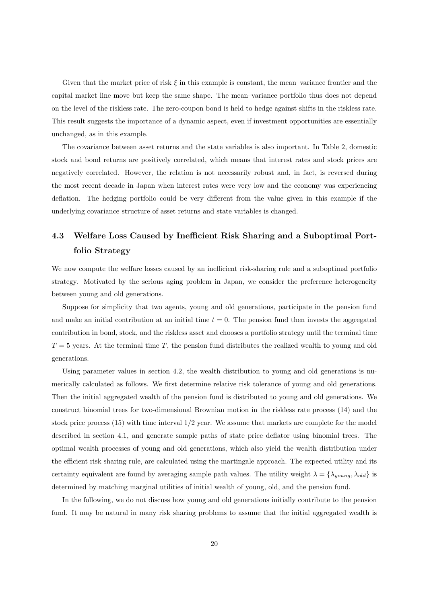Given that the market price of risk  $\xi$  in this example is constant, the mean–variance frontier and the capital market line move but keep the same shape. The mean–variance portfolio thus does not depend on the level of the riskless rate. The zero-coupon bond is held to hedge against shifts in the riskless rate. This result suggests the importance of a dynamic aspect, even if investment opportunities are essentially unchanged, as in this example.

The covariance between asset returns and the state variables is also important. In Table 2, domestic stock and bond returns are positively correlated, which means that interest rates and stock prices are negatively correlated. However, the relation is not necessarily robust and, in fact, is reversed during the most recent decade in Japan when interest rates were very low and the economy was experiencing deflation. The hedging portfolio could be very different from the value given in this example if the underlying covariance structure of asset returns and state variables is changed.

## **4.3 Welfare Loss Caused by Inefficient Risk Sharing and a Suboptimal Portfolio Strategy**

We now compute the welfare losses caused by an inefficient risk-sharing rule and a suboptimal portfolio strategy. Motivated by the serious aging problem in Japan, we consider the preference heterogeneity between young and old generations.

Suppose for simplicity that two agents, young and old generations, participate in the pension fund and make an initial contribution at an initial time  $t = 0$ . The pension fund then invests the aggregated contribution in bond, stock, and the riskless asset and chooses a portfolio strategy until the terminal time  $T = 5$  years. At the terminal time *T*, the pension fund distributes the realized wealth to young and old generations.

Using parameter values in section 4.2, the wealth distribution to young and old generations is numerically calculated as follows. We first determine relative risk tolerance of young and old generations. Then the initial aggregated wealth of the pension fund is distributed to young and old generations. We construct binomial trees for two-dimensional Brownian motion in the riskless rate process (14) and the stock price process (15) with time interval 1*/*2 year. We assume that markets are complete for the model described in section 4.1, and generate sample paths of state price deflator using binomial trees. The optimal wealth processes of young and old generations, which also yield the wealth distribution under the efficient risk sharing rule, are calculated using the martingale approach. The expected utility and its certainty equivalent are found by averaging sample path values. The utility weight  $\lambda = {\lambda_{young}, \lambda_{old}}$  is determined by matching marginal utilities of initial wealth of young, old, and the pension fund.

In the following, we do not discuss how young and old generations initially contribute to the pension fund. It may be natural in many risk sharing problems to assume that the initial aggregated wealth is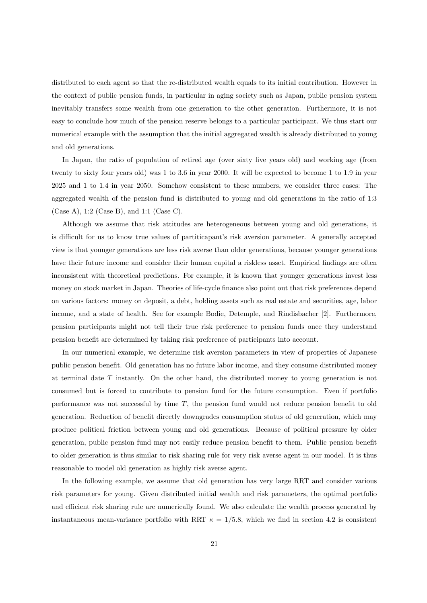distributed to each agent so that the re-distributed wealth equals to its initial contribution. However in the context of public pension funds, in particular in aging society such as Japan, public pension system inevitably transfers some wealth from one generation to the other generation. Furthermore, it is not easy to conclude how much of the pension reserve belongs to a particular participant. We thus start our numerical example with the assumption that the initial aggregated wealth is already distributed to young and old generations.

In Japan, the ratio of population of retired age (over sixty five years old) and working age (from twenty to sixty four years old) was 1 to 3.6 in year 2000. It will be expected to become 1 to 1.9 in year 2025 and 1 to 1.4 in year 2050. Somehow consistent to these numbers, we consider three cases: The aggregated wealth of the pension fund is distributed to young and old generations in the ratio of 1:3 (Case A), 1:2 (Case B), and 1:1 (Case C).

Although we assume that risk attitudes are heterogeneous between young and old generations, it is difficult for us to know true values of partiticapant's risk aversion parameter. A generally accepted view is that younger generations are less risk averse than older generations, because younger generations have their future income and consider their human capital a riskless asset. Empirical findings are often inconsistent with theoretical predictions. For example, it is known that younger generations invest less money on stock market in Japan. Theories of life-cycle finance also point out that risk preferences depend on various factors: money on deposit, a debt, holding assets such as real estate and securities, age, labor income, and a state of health. See for example Bodie, Detemple, and Rindisbacher [2]. Furthermore, pension participants might not tell their true risk preference to pension funds once they understand pension benefit are determined by taking risk preference of participants into account.

In our numerical example, we determine risk aversion parameters in view of properties of Japanese public pension benefit. Old generation has no future labor income, and they consume distributed money at terminal date *T* instantly. On the other hand, the distributed money to young generation is not consumed but is forced to contribute to pension fund for the future consumption. Even if portfolio performance was not successful by time *T*, the pension fund would not reduce pension benefit to old generation. Reduction of benefit directly downgrades consumption status of old generation, which may produce political friction between young and old generations. Because of political pressure by older generation, public pension fund may not easily reduce pension benefit to them. Public pension benefit to older generation is thus similar to risk sharing rule for very risk averse agent in our model. It is thus reasonable to model old generation as highly risk averse agent.

In the following example, we assume that old generation has very large RRT and consider various risk parameters for young. Given distributed initial wealth and risk parameters, the optimal portfolio and efficient risk sharing rule are numerically found. We also calculate the wealth process generated by instantaneous mean-variance portfolio with RRT  $\kappa = 1/5.8$ , which we find in section 4.2 is consistent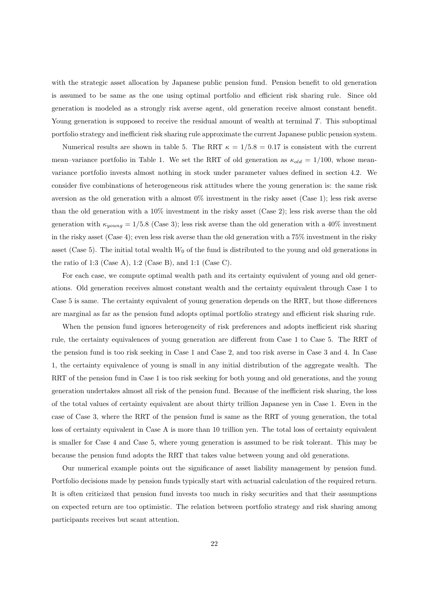with the strategic asset allocation by Japanese public pension fund. Pension benefit to old generation is assumed to be same as the one using optimal portfolio and efficient risk sharing rule. Since old generation is modeled as a strongly risk averse agent, old generation receive almost constant benefit. Young generation is supposed to receive the residual amount of wealth at terminal *T*. This suboptimal portfolio strategy and inefficient risk sharing rule approximate the current Japanese public pension system.

Numerical results are shown in table 5. The RRT  $\kappa = 1/5.8 = 0.17$  is consistent with the current mean–variance portfolio in Table 1. We set the RRT of old generation as  $\kappa_{old} = 1/100$ , whose meanvariance portfolio invests almost nothing in stock under parameter values defined in section 4.2. We consider five combinations of heterogeneous risk attitudes where the young generation is: the same risk aversion as the old generation with a almost  $0\%$  investment in the risky asset (Case 1); less risk averse than the old generation with a 10% investment in the risky asset (Case 2); less risk averse than the old generation with  $\kappa_{young} = 1/5.8$  (Case 3); less risk averse than the old generation with a 40% investment in the risky asset (Case 4); even less risk averse than the old generation with a 75% investment in the risky asset (Case 5). The initial total wealth  $W_0$  of the fund is distributed to the young and old generations in the ratio of 1:3 (Case A), 1:2 (Case B), and 1:1 (Case C).

For each case, we compute optimal wealth path and its certainty equivalent of young and old generations. Old generation receives almost constant wealth and the certainty equivalent through Case 1 to Case 5 is same. The certainty equivalent of young generation depends on the RRT, but those differences are marginal as far as the pension fund adopts optimal portfolio strategy and efficient risk sharing rule.

When the pension fund ignores heterogeneity of risk preferences and adopts inefficient risk sharing rule, the certainty equivalences of young generation are different from Case 1 to Case 5. The RRT of the pension fund is too risk seeking in Case 1 and Case 2, and too risk averse in Case 3 and 4. In Case 1, the certainty equivalence of young is small in any initial distribution of the aggregate wealth. The RRT of the pension fund in Case 1 is too risk seeking for both young and old generations, and the young generation undertakes almost all risk of the pension fund. Because of the inefficient risk sharing, the loss of the total values of certainty equivalent are about thirty trillion Japanese yen in Case 1. Even in the case of Case 3, where the RRT of the pension fund is same as the RRT of young generation, the total loss of certainty equivalent in Case A is more than 10 trillion yen. The total loss of certainty equivalent is smaller for Case 4 and Case 5, where young generation is assumed to be risk tolerant. This may be because the pension fund adopts the RRT that takes value between young and old generations.

Our numerical example points out the significance of asset liability management by pension fund. Portfolio decisions made by pension funds typically start with actuarial calculation of the required return. It is often criticized that pension fund invests too much in risky securities and that their assumptions on expected return are too optimistic. The relation between portfolio strategy and risk sharing among participants receives but scant attention.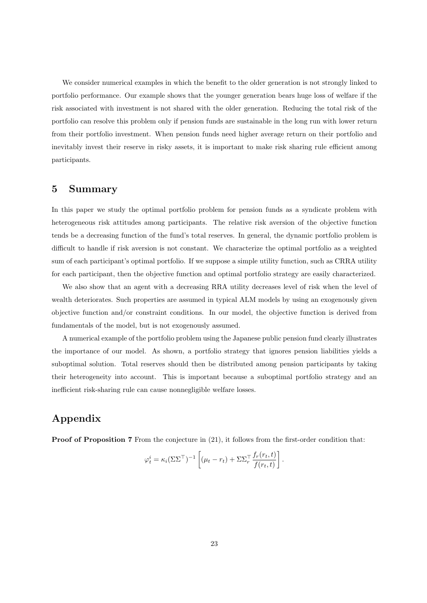We consider numerical examples in which the benefit to the older generation is not strongly linked to portfolio performance. Our example shows that the younger generation bears huge loss of welfare if the risk associated with investment is not shared with the older generation. Reducing the total risk of the portfolio can resolve this problem only if pension funds are sustainable in the long run with lower return from their portfolio investment. When pension funds need higher average return on their portfolio and inevitably invest their reserve in risky assets, it is important to make risk sharing rule efficient among participants.

### **5 Summary**

In this paper we study the optimal portfolio problem for pension funds as a syndicate problem with heterogeneous risk attitudes among participants. The relative risk aversion of the objective function tends be a decreasing function of the fund's total reserves. In general, the dynamic portfolio problem is difficult to handle if risk aversion is not constant. We characterize the optimal portfolio as a weighted sum of each participant's optimal portfolio. If we suppose a simple utility function, such as CRRA utility for each participant, then the objective function and optimal portfolio strategy are easily characterized.

We also show that an agent with a decreasing RRA utility decreases level of risk when the level of wealth deteriorates. Such properties are assumed in typical ALM models by using an exogenously given objective function and/or constraint conditions. In our model, the objective function is derived from fundamentals of the model, but is not exogenously assumed.

A numerical example of the portfolio problem using the Japanese public pension fund clearly illustrates the importance of our model. As shown, a portfolio strategy that ignores pension liabilities yields a suboptimal solution. Total reserves should then be distributed among pension participants by taking their heterogeneity into account. This is important because a suboptimal portfolio strategy and an inefficient risk-sharing rule can cause nonnegligible welfare losses.

## **Appendix**

**Proof of Proposition 7** From the conjecture in (21), it follows from the first-order condition that:

$$
\varphi_t^i = \kappa_i (\Sigma \Sigma^{\top})^{-1} \left[ (\mu_t - r_t) + \Sigma \Sigma_r^{\top} \frac{f_r(r_t, t)}{f(r_t, t)} \right].
$$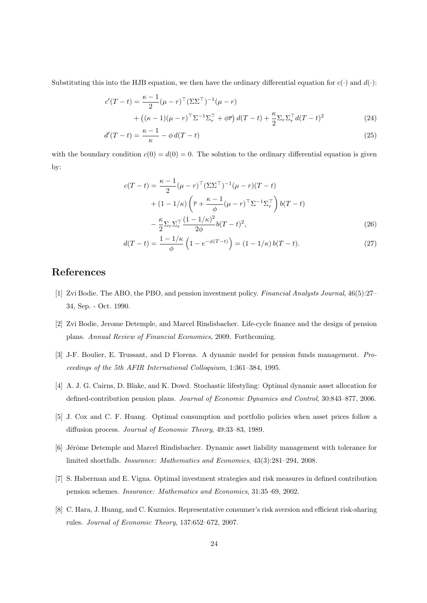Substituting this into the HJB equation, we then have the ordinary differential equation for  $c(\cdot)$  and  $d(\cdot)$ :

$$
c'(T-t) = \frac{\kappa - 1}{2} (\mu - r)^{\top} (\Sigma \Sigma^{\top})^{-1} (\mu - r)
$$
  
+ 
$$
((\kappa - 1)(\mu - r)^{\top} \Sigma^{-1} \Sigma_r^{\top} + \phi \overline{r}) d(T - t) + \frac{\kappa}{2} \Sigma_r \Sigma_r^{\top} d(T - t)^2
$$
 (24)

$$
d'(T-t) = \frac{\kappa - 1}{\kappa} - \phi \, d(T-t) \tag{25}
$$

with the boundary condition  $c(0) = d(0) = 0$ . The solution to the ordinary differential equation is given by:

$$
c(T-t) = \frac{\kappa - 1}{2} (\mu - r)^{\top} (\Sigma \Sigma^{\top})^{-1} (\mu - r) (T - t)
$$
  
+ 
$$
(1 - 1/\kappa) \left( \overline{r} + \frac{\kappa - 1}{\phi} (\mu - r)^{\top} \Sigma^{-1} \Sigma_{r}^{\top} \right) b(T - t)
$$
  
- 
$$
\frac{\kappa}{2} \Sigma_{r} \Sigma_{r}^{\top} \frac{(1 - 1/\kappa)^{2}}{2\phi} b(T - t)^{2},
$$
 (26)

$$
d(T - t) = \frac{1 - 1/\kappa}{\phi} \left( 1 - e^{-\phi(T - t)} \right) = (1 - 1/\kappa) b(T - t).
$$
 (27)

## **References**

- [1] Zvi Bodie. The ABO, the PBO, and pension investment policy. *Financial Analysts Journal*, 46(5):27– 34, Sep. - Oct. 1990.
- [2] Zvi Bodie, Jerome Detemple, and Marcel Rindisbacher. Life-cycle finance and the design of pension plans. *Annual Review of Financial Economics*, 2009. Forthcoming.
- [3] J-F. Boulier, E. Trussant, and D Florens. A dynamic model for pension funds management. *Proceedings of the 5th AFIR International Colloquium*, 1:361–384, 1995.
- [4] A. J. G. Cairns, D. Blake, and K. Dowd. Stochastic lifestyling: Optimal dynamic asset allocation for defined-contribution pension plans. *Journal of Economic Dynamics and Control*, 30:843–877, 2006.
- [5] J. Cox and C. F. Huang. Optimal consumption and portfolio policies when asset prices follow a diffusion process. *Journal of Economic Theory*, 49:33–83, 1989.
- [6] Jérôme Detemple and Marcel Rindisbacher. Dynamic asset liability management with tolerance for limited shortfalls. *Insurance: Mathematics and Economics*, 43(3):281–294, 2008.
- [7] S. Haberman and E. Vigna. Optimal investment strategies and risk measures in defined contribution pension schemes. *Insurance: Mathematics and Economics*, 31:35–69, 2002.
- [8] C. Hara, J. Huang, and C. Kuzmics. Representative consumer's risk aversion and efficient risk-sharing rules. *Journal of Economic Theory*, 137:652–672, 2007.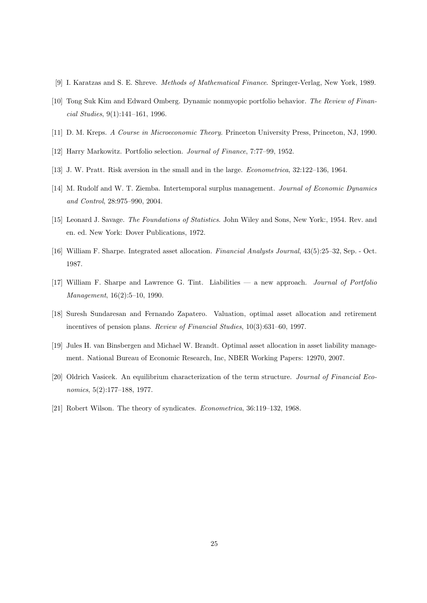- [9] I. Karatzas and S. E. Shreve. *Methods of Mathematical Finance*. Springer-Verlag, New York, 1989.
- [10] Tong Suk Kim and Edward Omberg. Dynamic nonmyopic portfolio behavior. *The Review of Financial Studies*, 9(1):141–161, 1996.
- [11] D. M. Kreps. *A Course in Microeconomic Theory*. Princeton University Press, Princeton, NJ, 1990.
- [12] Harry Markowitz. Portfolio selection. *Journal of Finance*, 7:77–99, 1952.
- [13] J. W. Pratt. Risk aversion in the small and in the large. *Econometrica*, 32:122–136, 1964.
- [14] M. Rudolf and W. T. Ziemba. Intertemporal surplus management. *Journal of Economic Dynamics and Control*, 28:975–990, 2004.
- [15] Leonard J. Savage. *The Foundations of Statistics*. John Wiley and Sons, New York:, 1954. Rev. and en. ed. New York: Dover Publications, 1972.
- [16] William F. Sharpe. Integrated asset allocation. *Financial Analysts Journal*, 43(5):25–32, Sep. Oct. 1987.
- [17] William F. Sharpe and Lawrence G. Tint. Liabilities a new approach. *Journal of Portfolio Management*, 16(2):5–10, 1990.
- [18] Suresh Sundaresan and Fernando Zapatero. Valuation, optimal asset allocation and retirement incentives of pension plans. *Review of Financial Studies*, 10(3):631–60, 1997.
- [19] Jules H. van Binsbergen and Michael W. Brandt. Optimal asset allocation in asset liability management. National Bureau of Economic Research, Inc, NBER Working Papers: 12970, 2007.
- [20] Oldrich Vasicek. An equilibrium characterization of the term structure. *Journal of Financial Economics*, 5(2):177–188, 1977.
- [21] Robert Wilson. The theory of syndicates. *Econometrica*, 36:119–132, 1968.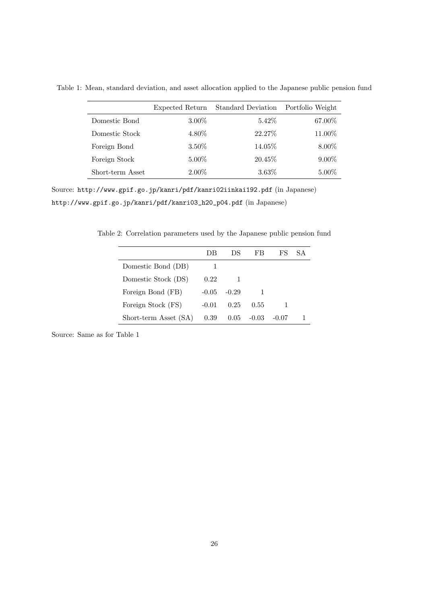|                  | Expected Return | Standard Deviation | Portfolio Weight |
|------------------|-----------------|--------------------|------------------|
| Domestic Bond    | 3.00%           | 5.42\%             | 67.00%           |
| Domestic Stock   | 4.80%           | 22.27%             | 11.00%           |
| Foreign Bond     | 3.50%           | 14.05%             | $8.00\%$         |
| Foreign Stock    | 5.00%           | 20.45\%            | 9.00%            |
| Short-term Asset | $2.00\%$        | 3.63%              | 5.00%            |

Table 1: Mean, standard deviation, and asset allocation applied to the Japanese public pension fund

Source: http://www.gpif.go.jp/kanri/pdf/kanri02iinkai192.pdf (in Japanese) http://www.gpif.go.jp/kanri/pdf/kanri03\_h20\_p04.pdf (in Japanese)

Table 2: Correlation parameters used by the Japanese public pension fund

|                       | DB        | DS      | FB      | FS      | SА |
|-----------------------|-----------|---------|---------|---------|----|
| Domestic Bond (DB)    |           |         |         |         |    |
| Domestic Stock (DS)   | 0.22      |         |         |         |    |
| Foreign Bond (FB)     | $-0.05$   | $-0.29$ |         |         |    |
| Foreign Stock (FS)    | $-(0.01)$ | 0.25    | 0.55    |         |    |
| Short-term Asset (SA) | 0.39      | 0.05    | $-0.03$ | $-0.07$ |    |

Source: Same as for Table 1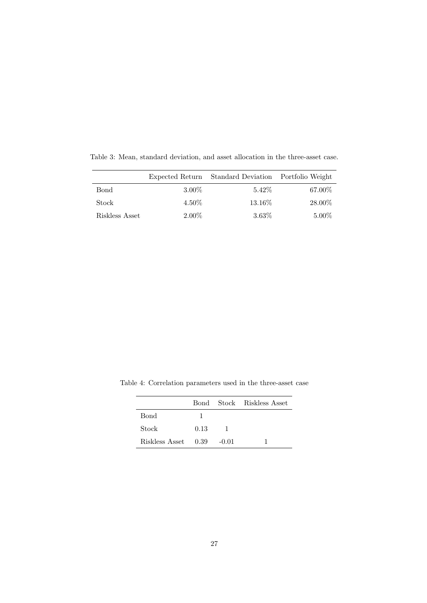|                |          | Expected Return Standard Deviation Portfolio Weight |          |
|----------------|----------|-----------------------------------------------------|----------|
| Bond           | $3.00\%$ | 5.42\%                                              | 67.00%   |
| Stock          | $4.50\%$ | 13.16\%                                             | 28.00%   |
| Riskless Asset | $2.00\%$ | 3.63%                                               | $5.00\%$ |

Table 3: Mean, standard deviation, and asset allocation in the three-asset case.

| Table 4: Correlation parameters used in the three-asset case |  |  |  |
|--------------------------------------------------------------|--|--|--|
|                                                              |  |  |  |

|                     |      |         | Bond Stock Riskless Asset |
|---------------------|------|---------|---------------------------|
| <b>Bond</b>         |      |         |                           |
| Stock               | 0.13 |         |                           |
| Riskless Asset 0.39 |      | $-0.01$ |                           |